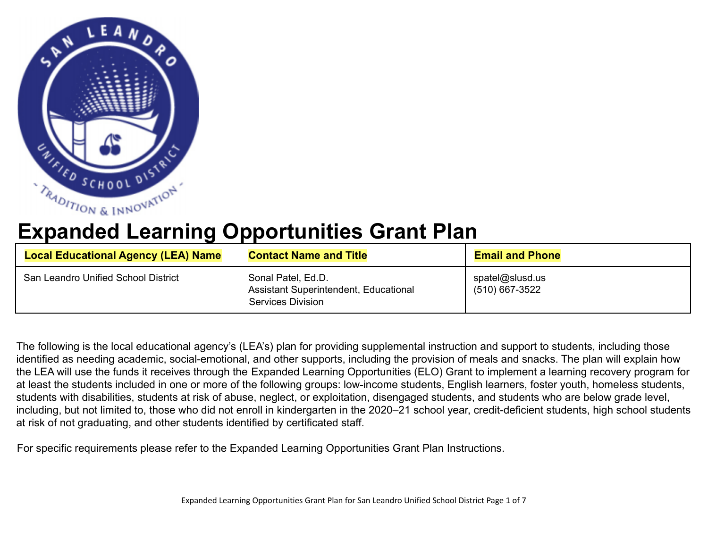

## **Expanded Learning Opportunities Grant Plan**

| <b>Local Educational Agency (LEA) Name</b> | <b>Contact Name and Title</b>                                                                  | <b>Email and Phone</b>            |
|--------------------------------------------|------------------------------------------------------------------------------------------------|-----------------------------------|
| San Leandro Unified School District        | Sonal Patel, Ed.D.<br><b>Assistant Superintendent, Educational</b><br><b>Services Division</b> | spatel@slusd.us<br>(510) 667-3522 |

The following is the local educational agency's (LEA's) plan for providing supplemental instruction and support to students, including those identified as needing academic, social-emotional, and other supports, including the provision of meals and snacks. The plan will explain how the LEA will use the funds it receives through the Expanded Learning Opportunities (ELO) Grant to implement a learning recovery program for at least the students included in one or more of the following groups: low-income students, English learners, foster youth, homeless students, students with disabilities, students at risk of abuse, neglect, or exploitation, disengaged students, and students who are below grade level, including, but not limited to, those who did not enroll in kindergarten in the 2020–21 school year, credit-deficient students, high school students at risk of not graduating, and other students identified by certificated staff.

For specific requirements please refer to the Expanded Learning Opportunities Grant Plan Instructions.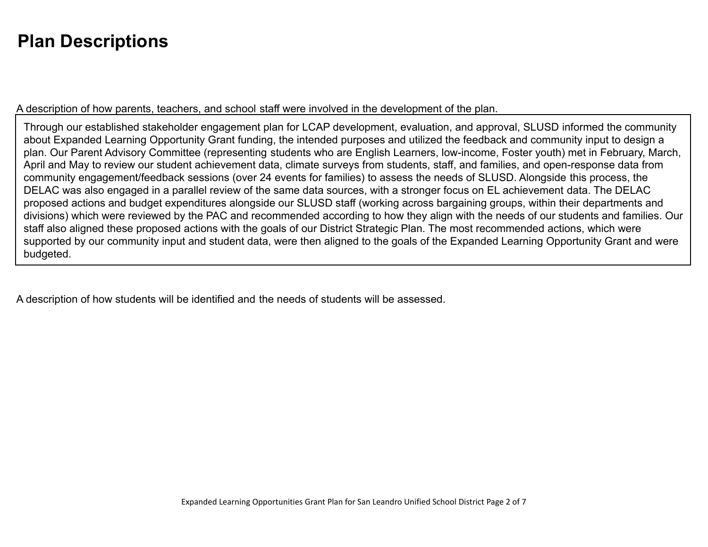## **Plan Descriptions**

A description of how parents, teachers, and school staff were involved in the development of the plan.

Through our established stakeholder engagement plan for LCAP development, evaluation, and approval, SLUSD informed the community about Expanded Learning Opportunity Grant funding, the intended purposes and utilized the feedback and community input to design a plan. Our Parent Advisory Committee (representing students who are English Learners, low-income, Foster youth) met in February, March, April and May to review our student achievement data, climate surveys from students, staff, and families, and open-response data from community engagement/feedback sessions (over 24 events for families) to assess the needs of SLUSD. Alongside this process, the DELAC was also engaged in a parallel review of the same data sources, with a stronger focus on EL achievement data. The DELAC proposed actions and budget expenditures alongside our SLUSD staff (working across bargaining groups, within their departments and divisions) which were reviewed by the PAC and recommended according to how they align with the needs of our students and families. Our staff also aligned these proposed actions with the goals of our District Strategic Plan. The most recommended actions, which were supported by our community input and student data, were then aligned to the goals of the Expanded Learning Opportunity Grant and were budgeted.

A description of how students will be identified and the needs of students will be assessed.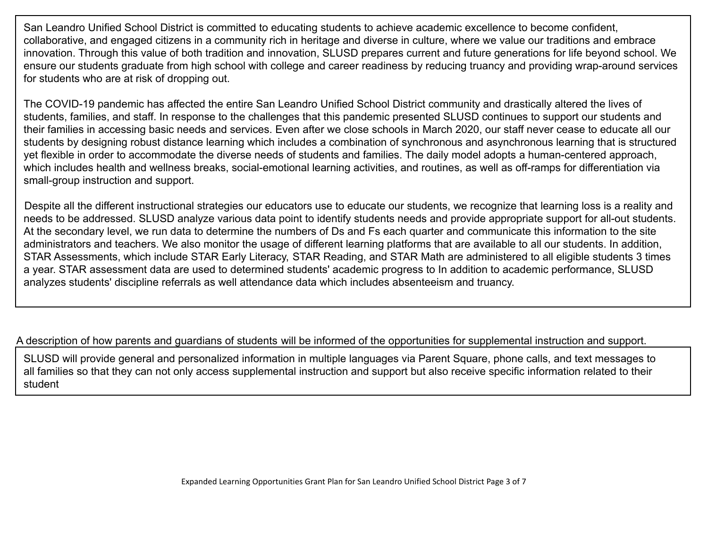San Leandro Unified School District is committed to educating students to achieve academic excellence to become confident, collaborative, and engaged citizens in a community rich in heritage and diverse in culture, where we value our traditions and embrace innovation. Through this value of both tradition and innovation, SLUSD prepares current and future generations for life beyond school. We ensure our students graduate from high school with college and career readiness by reducing truancy and providing wrap-around services for students who are at risk of dropping out.

The COVID-19 pandemic has affected the entire San Leandro Unified School District community and drastically altered the lives of students, families, and staff. In response to the challenges that this pandemic presented SLUSD continues to support our students and their families in accessing basic needs and services. Even after we close schools in March 2020, our staff never cease to educate all our students by designing robust distance learning which includes a combination of synchronous and asynchronous learning that is structured yet flexible in order to accommodate the diverse needs of students and families. The daily model adopts a human-centered approach, which includes health and wellness breaks, social-emotional learning activities, and routines, as well as off-ramps for differentiation via small-group instruction and support.

Despite all the different instructional strategies our educators use to educate our students, we recognize that learning loss is a reality and needs to be addressed. SLUSD analyze various data point to identify students needs and provide appropriate support for all-out students. At the secondary level, we run data to determine the numbers of Ds and Fs each quarter and communicate this information to the site administrators and teachers. We also monitor the usage of different learning platforms that are available to all our students. In addition, STAR Assessments, which include STAR Early Literacy, STAR Reading, and STAR Math are administered to all eligible students 3 times a year. STAR assessment data are used to determined students' academic progress to In addition to academic performance, SLUSD analyzes students' discipline referrals as well attendance data which includes absenteeism and truancy.

A description of how parents and guardians of students will be informed of the opportunities for supplemental instruction and support.

SLUSD will provide general and personalized information in multiple languages via Parent Square, phone calls, and text messages to all families so that they can not only access supplemental instruction and support but also receive specific information related to their student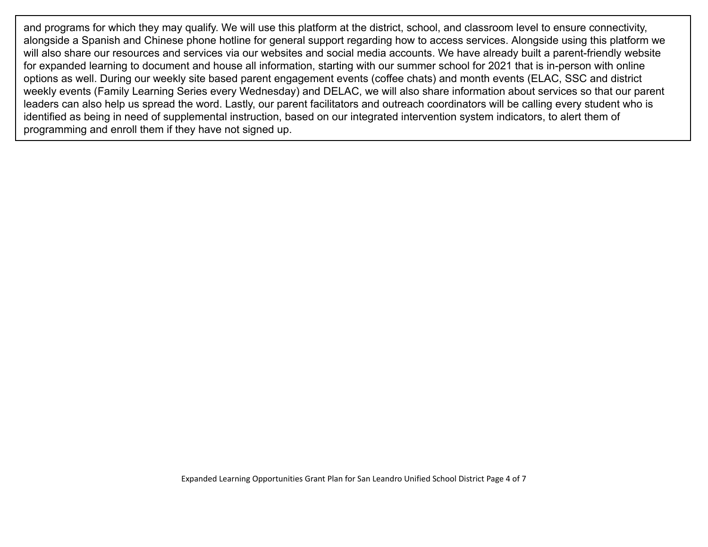and programs for which they may qualify. We will use this platform at the district, school, and classroom level to ensure connectivity, alongside a Spanish and Chinese phone hotline for general support regarding how to access services. Alongside using this platform we will also share our resources and services via our websites and social media accounts. We have already built a parent-friendly website for expanded learning to document and house all information, starting with our summer school for 2021 that is in-person with online options as well. During our weekly site based parent engagement events (coffee chats) and month events (ELAC, SSC and district weekly events (Family Learning Series every Wednesday) and DELAC, we will also share information about services so that our parent leaders can also help us spread the word. Lastly, our parent facilitators and outreach coordinators will be calling every student who is identified as being in need of supplemental instruction, based on our integrated intervention system indicators, to alert them of programming and enroll them if they have not signed up.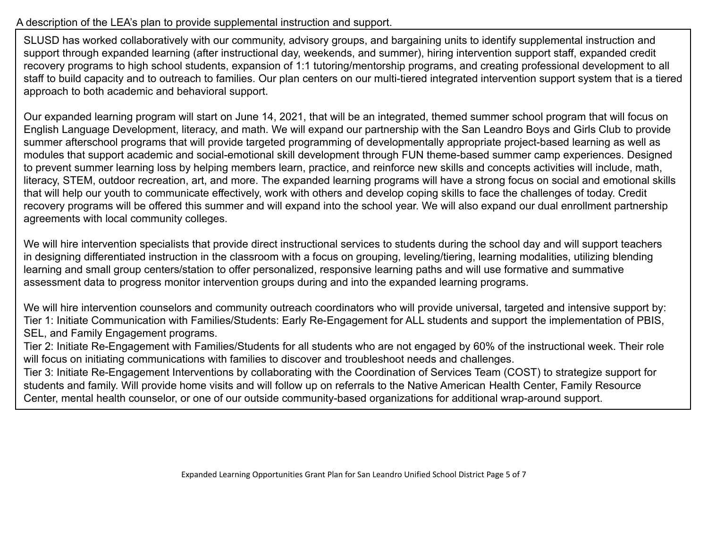## A description of the LEA's plan to provide supplemental instruction and support.

SLUSD has worked collaboratively with our community, advisory groups, and bargaining units to identify supplemental instruction and support through expanded learning (after instructional day, weekends, and summer), hiring intervention support staff, expanded credit recovery programs to high school students, expansion of 1:1 tutoring/mentorship programs, and creating professional development to all staff to build capacity and to outreach to families. Our plan centers on our multi-tiered integrated intervention support system that is a tiered approach to both academic and behavioral support.

Our expanded learning program will start on June 14, 2021, that will be an integrated, themed summer school program that will focus on English Language Development, literacy, and math. We will expand our partnership with the San Leandro Boys and Girls Club to provide summer afterschool programs that will provide targeted programming of developmentally appropriate project-based learning as well as modules that support academic and social-emotional skill development through FUN theme-based summer camp experiences. Designed to prevent summer learning loss by helping members learn, practice, and reinforce new skills and concepts activities will include, math, literacy, STEM, outdoor recreation, art, and more. The expanded learning programs will have a strong focus on social and emotional skills that will help our youth to communicate effectively, work with others and develop coping skills to face the challenges of today. Credit recovery programs will be offered this summer and will expand into the school year. We will also expand our dual enrollment partnership agreements with local community colleges.

We will hire intervention specialists that provide direct instructional services to students during the school day and will support teachers in designing differentiated instruction in the classroom with a focus on grouping, leveling/tiering, learning modalities, utilizing blending learning and small group centers/station to offer personalized, responsive learning paths and will use formative and summative assessment data to progress monitor intervention groups during and into the expanded learning programs.

We will hire intervention counselors and community outreach coordinators who will provide universal, targeted and intensive support by: Tier 1: Initiate Communication with Families/Students: Early Re-Engagement for ALL students and support the implementation of PBIS, SEL, and Family Engagement programs.

Tier 2: Initiate Re-Engagement with Families/Students for all students who are not engaged by 60% of the instructional week. Their role will focus on initiating communications with families to discover and troubleshoot needs and challenges.

Tier 3: Initiate Re-Engagement Interventions by collaborating with the Coordination of Services Team (COST) to strategize support for students and family. Will provide home visits and will follow up on referrals to the Native American Health Center, Family Resource Center, mental health counselor, or one of our outside community-based organizations for additional wrap-around support.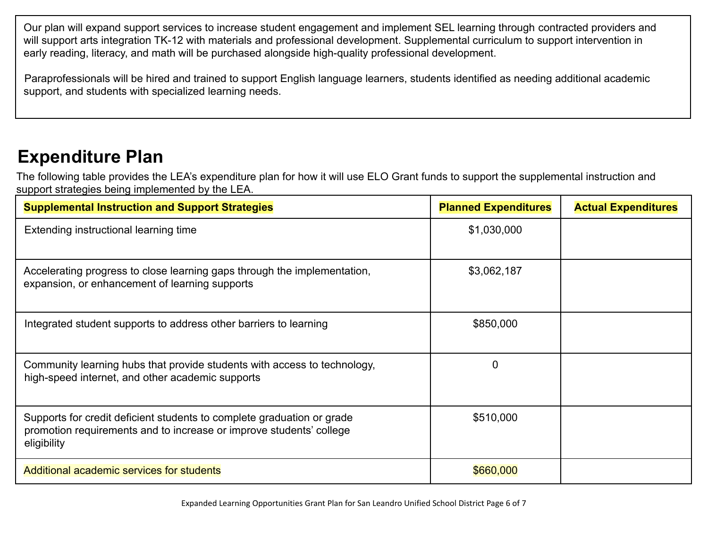Our plan will expand support services to increase student engagement and implement SEL learning through contracted providers and will support arts integration TK-12 with materials and professional development. Supplemental curriculum to support intervention in early reading, literacy, and math will be purchased alongside high-quality professional development.

Paraprofessionals will be hired and trained to support English language learners, students identified as needing additional academic support, and students with specialized learning needs.

## **Expenditure Plan**

The following table provides the LEA's expenditure plan for how it will use ELO Grant funds to support the supplemental instruction and support strategies being implemented by the LEA.

| <b>Supplemental Instruction and Support Strategies</b>                                                                                                       | <b>Planned Expenditures</b> | <b>Actual Expenditures</b> |
|--------------------------------------------------------------------------------------------------------------------------------------------------------------|-----------------------------|----------------------------|
| Extending instructional learning time                                                                                                                        | \$1,030,000                 |                            |
| Accelerating progress to close learning gaps through the implementation,<br>expansion, or enhancement of learning supports                                   | \$3,062,187                 |                            |
| Integrated student supports to address other barriers to learning                                                                                            | \$850,000                   |                            |
| Community learning hubs that provide students with access to technology,<br>high-speed internet, and other academic supports                                 |                             |                            |
| Supports for credit deficient students to complete graduation or grade<br>promotion requirements and to increase or improve students' college<br>eligibility | \$510,000                   |                            |
| Additional academic services for students                                                                                                                    | \$660,000                   |                            |